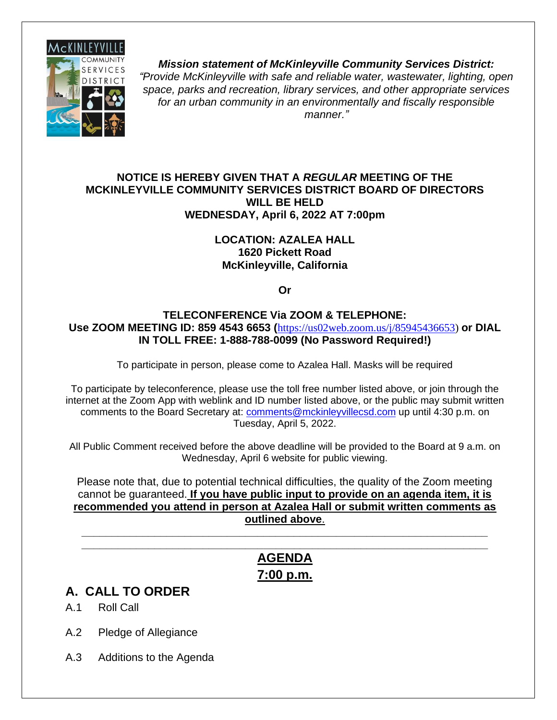

*Mission statement of McKinleyville Community Services District: "Provide McKinleyville with safe and reliable water, wastewater, lighting, open space, parks and recreation, library services, and other appropriate services for an urban community in an environmentally and fiscally responsible manner."*

#### **NOTICE IS HEREBY GIVEN THAT A** *REGULAR* **MEETING OF THE MCKINLEYVILLE COMMUNITY SERVICES DISTRICT BOARD OF DIRECTORS WILL BE HELD WEDNESDAY, April 6, 2022 AT 7:00pm**

#### **LOCATION: AZALEA HALL 1620 Pickett Road McKinleyville, California**

**Or**

#### **TELECONFERENCE Via ZOOM & TELEPHONE: Use ZOOM MEETING ID: 859 4543 6653 (**[https://us02web.zoom.us/j/85945436653\)](https://us02web.zoom.us/j/85945436653) **or DIAL IN TOLL FREE: 1-888-788-0099 (No Password Required!)**

To participate in person, please come to Azalea Hall. Masks will be required

To participate by teleconference, please use the toll free number listed above, or join through the internet at the Zoom App with weblink and ID number listed above, or the public may submit written comments to the Board Secretary at: [comments@mckinleyvillecsd.com](mailto:contacts@mckinleyvillecsd.com) up until 4:30 p.m. on Tuesday, April 5, 2022.

All Public Comment received before the above deadline will be provided to the Board at 9 a.m. on Wednesday, April 6 website for public viewing.

Please note that, due to potential technical difficulties, the quality of the Zoom meeting cannot be guaranteed. **If you have public input to provide on an agenda item, it is recommended you attend in person at Azalea Hall or submit written comments as outlined above**.

**\_\_\_\_\_\_\_\_\_\_\_\_\_\_\_\_\_\_\_\_\_\_\_\_\_\_\_\_\_\_\_\_\_\_\_\_\_\_\_\_\_\_\_\_\_\_\_\_\_\_\_\_\_\_\_\_\_\_\_\_\_\_\_\_\_\_\_**

### **\_\_\_\_\_\_\_\_\_\_\_\_\_\_\_\_\_\_\_\_\_\_\_\_\_\_\_\_\_\_\_\_\_\_\_\_\_\_\_\_\_\_\_\_\_\_\_\_\_\_\_\_\_\_\_\_\_\_\_\_\_\_\_\_\_\_\_ AGENDA 7:00 p.m.**

## **A. CALL TO ORDER**

- A.1 Roll Call
- A.2 Pledge of Allegiance
- A.3 Additions to the Agenda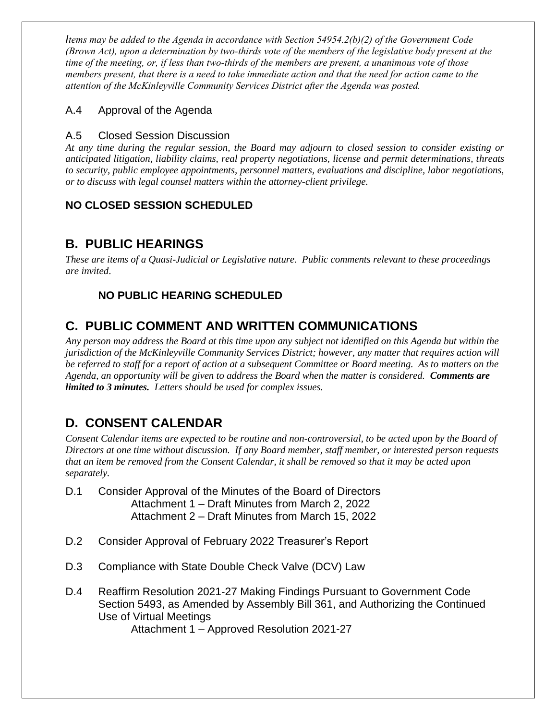*Items may be added to the Agenda in accordance with Section 54954.2(b)(2) of the Government Code (Brown Act), upon a determination by two-thirds vote of the members of the legislative body present at the time of the meeting, or, if less than two-thirds of the members are present, a unanimous vote of those members present, that there is a need to take immediate action and that the need for action came to the attention of the McKinleyville Community Services District after the Agenda was posted.* 

### A.4 Approval of the Agenda

### A.5 Closed Session Discussion

*At any time during the regular session, the Board may adjourn to closed session to consider existing or anticipated litigation, liability claims, real property negotiations, license and permit determinations, threats to security, public employee appointments, personnel matters, evaluations and discipline, labor negotiations, or to discuss with legal counsel matters within the attorney-client privilege.*

### **NO CLOSED SESSION SCHEDULED**

## **B. PUBLIC HEARINGS**

*These are items of a Quasi-Judicial or Legislative nature. Public comments relevant to these proceedings are invited*.

### **NO PUBLIC HEARING SCHEDULED**

## **C. PUBLIC COMMENT AND WRITTEN COMMUNICATIONS**

*Any person may address the Board at this time upon any subject not identified on this Agenda but within the jurisdiction of the McKinleyville Community Services District; however, any matter that requires action will be referred to staff for a report of action at a subsequent Committee or Board meeting. As to matters on the Agenda, an opportunity will be given to address the Board when the matter is considered. Comments are limited to 3 minutes. Letters should be used for complex issues.*

## **D. CONSENT CALENDAR**

*Consent Calendar items are expected to be routine and non-controversial, to be acted upon by the Board of Directors at one time without discussion. If any Board member, staff member, or interested person requests that an item be removed from the Consent Calendar, it shall be removed so that it may be acted upon separately.*

- D.1 Consider Approval of the Minutes of the Board of Directors Attachment 1 – Draft Minutes from March 2, 2022 Attachment 2 – Draft Minutes from March 15, 2022
- D.2 Consider Approval of February 2022 Treasurer's Report
- D.3 Compliance with State Double Check Valve (DCV) Law
- D.4 Reaffirm Resolution 2021-27 Making Findings Pursuant to Government Code Section 5493, as Amended by Assembly Bill 361, and Authorizing the Continued Use of Virtual Meetings

Attachment 1 – Approved Resolution 2021-27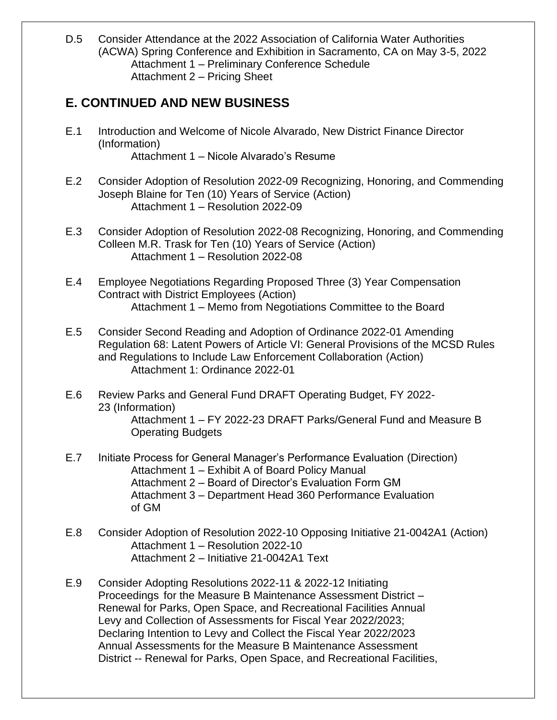D.5 Consider Attendance at the 2022 Association of California Water Authorities (ACWA) Spring Conference and Exhibition in Sacramento, CA on May 3-5, 2022 Attachment 1 – Preliminary Conference Schedule Attachment 2 – Pricing Sheet

### **E. CONTINUED AND NEW BUSINESS**

- E.1 Introduction and Welcome of Nicole Alvarado, New District Finance Director (Information) Attachment 1 – Nicole Alvarado's Resume
- E.2 Consider Adoption of Resolution 2022-09 Recognizing, Honoring, and Commending Joseph Blaine for Ten (10) Years of Service (Action) Attachment 1 – Resolution 2022-09
- E.3 Consider Adoption of Resolution 2022-08 Recognizing, Honoring, and Commending Colleen M.R. Trask for Ten (10) Years of Service (Action) Attachment 1 – Resolution 2022-08
- E.4 Employee Negotiations Regarding Proposed Three (3) Year Compensation Contract with District Employees (Action) Attachment 1 – Memo from Negotiations Committee to the Board
- E.5 Consider Second Reading and Adoption of Ordinance 2022-01 Amending Regulation 68: Latent Powers of Article VI: General Provisions of the MCSD Rules and Regulations to Include Law Enforcement Collaboration (Action) Attachment 1: Ordinance 2022-01
- E.6 Review Parks and General Fund DRAFT Operating Budget, FY 2022- 23 (Information) Attachment 1 – FY 2022-23 DRAFT Parks/General Fund and Measure B Operating Budgets
- E.7 Initiate Process for General Manager's Performance Evaluation (Direction) Attachment 1 – Exhibit A of Board Policy Manual Attachment 2 – Board of Director's Evaluation Form GM Attachment 3 – Department Head 360 Performance Evaluation of GM
- E.8 Consider Adoption of Resolution 2022-10 Opposing Initiative 21-0042A1 (Action) Attachment 1 – Resolution 2022-10 Attachment 2 – Initiative 21-0042A1 Text
- E.9 Consider Adopting Resolutions 2022-11 & 2022-12 Initiating Proceedings for the Measure B Maintenance Assessment District – Renewal for Parks, Open Space, and Recreational Facilities Annual Levy and Collection of Assessments for Fiscal Year 2022/2023; Declaring Intention to Levy and Collect the Fiscal Year 2022/2023 Annual Assessments for the Measure B Maintenance Assessment District -- Renewal for Parks, Open Space, and Recreational Facilities,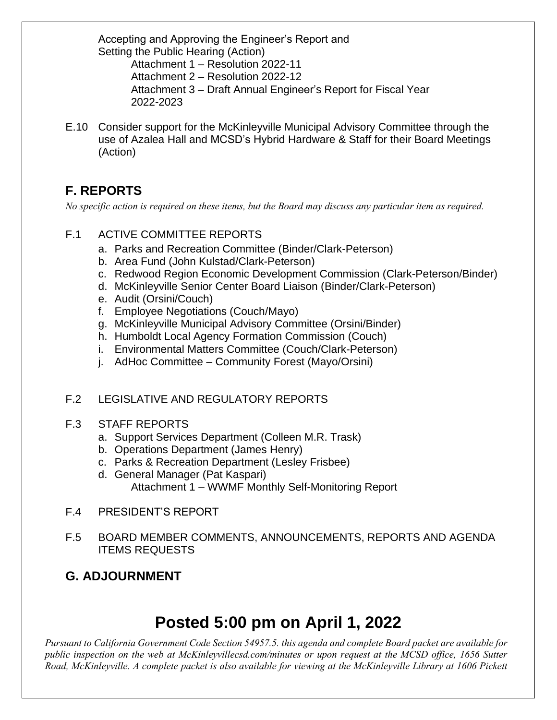Accepting and Approving the Engineer's Report and Setting the Public Hearing (Action) Attachment 1 – Resolution 2022-11 Attachment 2 – Resolution 2022-12 Attachment 3 – Draft Annual Engineer's Report for Fiscal Year 2022-2023

E.10 Consider support for the McKinleyville Municipal Advisory Committee through the use of Azalea Hall and MCSD's Hybrid Hardware & Staff for their Board Meetings (Action)

## **F. REPORTS**

*No specific action is required on these items, but the Board may discuss any particular item as required.*

- F.1 ACTIVE COMMITTEE REPORTS
	- a. Parks and Recreation Committee (Binder/Clark-Peterson)
	- b. Area Fund (John Kulstad/Clark-Peterson)
	- c. Redwood Region Economic Development Commission (Clark-Peterson/Binder)
	- d. McKinleyville Senior Center Board Liaison (Binder/Clark-Peterson)
	- e. Audit (Orsini/Couch)
	- f. Employee Negotiations (Couch/Mayo)
	- g. McKinleyville Municipal Advisory Committee (Orsini/Binder)
	- h. Humboldt Local Agency Formation Commission (Couch)
	- i. Environmental Matters Committee (Couch/Clark-Peterson)
	- j. AdHoc Committee Community Forest (Mayo/Orsini)

### F.2 LEGISLATIVE AND REGULATORY REPORTS

- F.3 STAFF REPORTS
	- a. Support Services Department (Colleen M.R. Trask)
	- b. Operations Department (James Henry)
	- c. Parks & Recreation Department (Lesley Frisbee)
	- d. General Manager (Pat Kaspari)

Attachment 1 – WWMF Monthly Self-Monitoring Report

- F.4 PRESIDENT'S REPORT
- F.5 BOARD MEMBER COMMENTS, ANNOUNCEMENTS, REPORTS AND AGENDA ITEMS REQUESTS

## **G. ADJOURNMENT**

# **Posted 5:00 pm on April 1, 2022**

*Pursuant to California Government Code Section 54957.5. this agenda and complete Board packet are available for public inspection on the web at McKinleyvillecsd.com/minutes or upon request at the MCSD office, 1656 Sutter Road, McKinleyville. A complete packet is also available for viewing at the McKinleyville Library at 1606 Pickett*